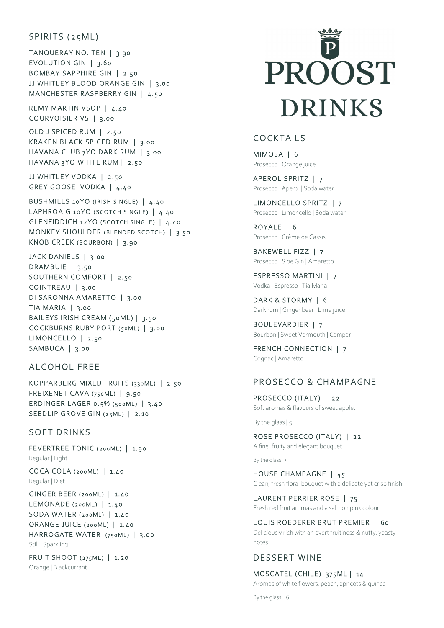## SPIRITS (25ML)

TANQUERAY NO. TEN | 3.90 EVOLUTION GIN  $|$  3.60 BOMBAY SAPPHIRE GIN | 2.50 JJ WHITLEY BLOOD ORANGE GIN | 3.00 MANCHESTER RASPBERRY GIN | 4.50

REMY MARTIN VSOP | 4.40 COURVOISIER VS | 3.00

OLD J SPICED RUM | 2.50 KRAKEN BLACK SPICED RUM | 3.00 HAVANA CLUB 7YO DARK RUM | 3.00 HAVANA 3YO WHITE RUM | 2.50

JJ WHITLEY VODKA | 2.50 GREY GOOSE VODKA | 4.40

BUSHMILLS 10YO (IRISH SINGLE) | 4.40 LAPHROAIG 10YO (SCOTCH SINGLE) | 4.40 GLENFIDDICH 12YO (SCOTCH SINGLE) | 4.40 MONKEY SHOULDER (BLENDED SCOTCH) | 3.50 KNOB CREEK (BOURBON) | 3.90

JACK DANIELS | 3.00 DRAMBUIE | 3.50 SOUTHERN COMFORT | 2.50 COINTREAU | 3.00 DI SARONNA AMARETTO | 3.00  $TIA$  MARIA | 3.00 BAILEYS IRISH CREAM (50ML) | 3.50 COCKBURNS RUBY PORT (50ML) | 3.00 LIMONCELLO | 2.50 SAMBUCA | 3.00

## AL COHOL FREE

KOPPARBERG MIXED FRUITS (330ML) | 2.50 FREIXENET CAVA  $(750ML)$  | 9.50 ERDINGER LAGER 0.5% (500ML) | 3.40 SEEDLIP GROVE GIN (25ML) | 2.10

#### SOFT DRINKS

FEVERTREE TONIC (200ML) | 1.90 Regular | Light COCA COLA (200ML) | 1.40 Regular | Diet GINGER BEER (200ML) | 1.40 LEMONADE (200ML) | 1.40 SODA WATER (200ML) | 1.40 ORANGE JUICE (200ML) | 1.40 HARROGATE WATER (750ML) | 3.00

Still | Sparkling

FRUIT SHOOT (275ML) | 1.20 Orange | Blackcurrant

# PROOST DRINKS

## **COCKTAILS**

MIMOSA | 6 Prosecco | Orange juice

APEROL SPRITZ | 7 Prosecco | Aperol | Soda water

LIMONCELLO SPRITZ | 7 Prosecco | Limoncello | Soda water

ROYALE | 6 Prosecco | Crème de Cassis

BAKEWELL FIZZ | 7 Prosecco | Sloe Gin | Amaretto

ESPRESSO MARTINI | 7 Vodka | Espresso | Tia Maria

DARK & STORMY | 6 Dark rum | Ginger beer | Lime juice

BOULEVARDIER | 7 Bourbon | Sweet Vermouth | Campari

FRENCH CONNECTION | 7 Cognac | Amaretto

## PROSECCO & CHAMPAGNE

PROSECCO (ITALY) | 22 Soft aromas & flavours of sweet apple.

By the glass | 5

ROSE PROSECCO (ITALY) | 22 A fine, fruity and elegant bouquet.

By the glass | 5

HOUSE CHAMPAGNE | 45 Clean, fresh floral bouquet with a delicate yet crisp finish.

LAURENT PERRIER ROSE | 75 Fresh red fruit aromas and a salmon pink colour

LOUIS ROEDERER BRUT PREMIER | 60 Deliciously rich with an overt fruitiness & nutty, yeasty notes.

#### DESSERT WINE

MOSCATEL (CHILE) 375ML | 14 Aromas of white flowers, peach, apricots & quince

By the glass | 6